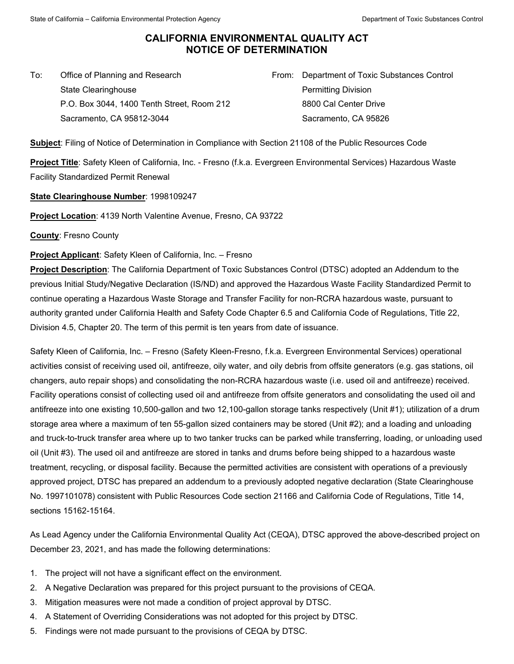## **CALIFORNIA ENVIRONMENTAL QUALITY ACT NOTICE OF DETERMINATION**

To: Office of Planning and Research State Clearinghouse P.O. Box 3044, 1400 Tenth Street, Room 212 Sacramento, CA 95812-3044

From: Department of Toxic Substances Control Permitting Division 8800 Cal Center Drive Sacramento, CA 95826

**Subject**: Filing of Notice of Determination in Compliance with Section 21108 of the Public Resources Code

**Project Title**: Safety Kleen of California, Inc. - Fresno (f.k.a. Evergreen Environmental Services) Hazardous Waste Facility Standardized Permit Renewal

**State Clearinghouse Number**: 1998109247

**Project Location**: 4139 North Valentine Avenue, Fresno, CA 93722

**County**: Fresno County

**Project Applicant**: Safety Kleen of California, Inc. – Fresno

**Project Description**: The California Department of Toxic Substances Control (DTSC) adopted an Addendum to the previous Initial Study/Negative Declaration (IS/ND) and approved the Hazardous Waste Facility Standardized Permit to continue operating a Hazardous Waste Storage and Transfer Facility for non-RCRA hazardous waste, pursuant to authority granted under California Health and Safety Code Chapter 6.5 and California Code of Regulations, Title 22, Division 4.5, Chapter 20. The term of this permit is ten years from date of issuance.

Safety Kleen of California, Inc. – Fresno (Safety Kleen-Fresno, f.k.a. Evergreen Environmental Services) operational activities consist of receiving used oil, antifreeze, oily water, and oily debris from offsite generators (e.g. gas stations, oil changers, auto repair shops) and consolidating the non-RCRA hazardous waste (i.e. used oil and antifreeze) received. Facility operations consist of collecting used oil and antifreeze from offsite generators and consolidating the used oil and antifreeze into one existing 10,500-gallon and two 12,100-gallon storage tanks respectively (Unit #1); utilization of a drum storage area where a maximum of ten 55-gallon sized containers may be stored (Unit #2); and a loading and unloading and truck-to-truck transfer area where up to two tanker trucks can be parked while transferring, loading, or unloading used oil (Unit #3). The used oil and antifreeze are stored in tanks and drums before being shipped to a hazardous waste treatment, recycling, or disposal facility. Because the permitted activities are consistent with operations of a previously approved project, DTSC has prepared an addendum to a previously adopted negative declaration (State Clearinghouse No. 1997101078) consistent with Public Resources Code section 21166 and California Code of Regulations, Title 14, sections 15162-15164.

As Lead Agency under the California Environmental Quality Act (CEQA), DTSC approved the above-described project on December 23, 2021, and has made the following determinations:

- 1. The project will not have a significant effect on the environment.
- 2. A Negative Declaration was prepared for this project pursuant to the provisions of CEQA.
- 3. Mitigation measures were not made a condition of project approval by DTSC.
- 4. A Statement of Overriding Considerations was not adopted for this project by DTSC.
- 5. Findings were not made pursuant to the provisions of CEQA by DTSC.